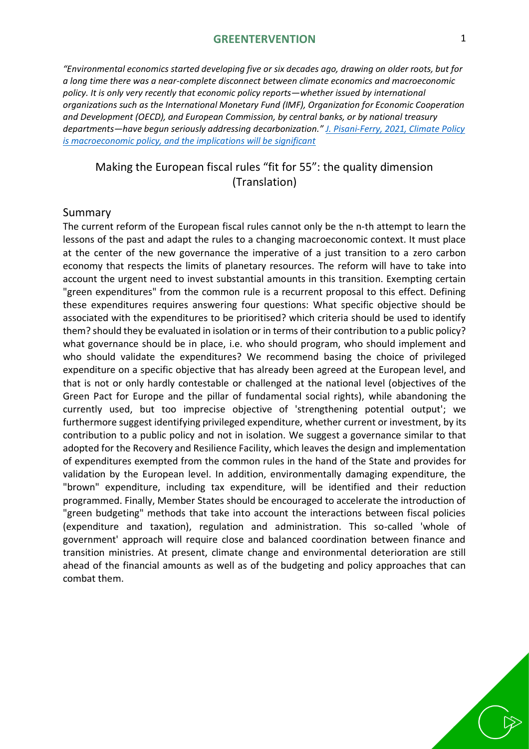#### **GREENTERVENTION** 1

*"Environmental economics started developing five or six decades ago, drawing on older roots, but for a long time there was a near-complete disconnect between climate economics and macroeconomic policy. It is only very recently that economic policy reports—whether issued by international organizations such as the International Monetary Fund (IMF), Organization for Economic Cooperation and Development (OECD), and European Commission, by central banks, or by national treasury departments—have begun seriously addressing decarbonization." [J. Pisani-Ferry, 2021, Climate Policy](https://www.piie.com/publications/policy-briefs/climate-policy-macroeconomic-policy-and-implications-will-be-significant)  [is macroeconomic policy, and the implications will be](https://www.piie.com/publications/policy-briefs/climate-policy-macroeconomic-policy-and-implications-will-be-significant) significant*

## Making the European fiscal rules "fit for 55": the quality dimension (Translation)

#### Summary

The current reform of the European fiscal rules cannot only be the n-th attempt to learn the lessons of the past and adapt the rules to a changing macroeconomic context. It must place at the center of the new governance the imperative of a just transition to a zero carbon economy that respects the limits of planetary resources. The reform will have to take into account the urgent need to invest substantial amounts in this transition. Exempting certain "green expenditures" from the common rule is a recurrent proposal to this effect. Defining these expenditures requires answering four questions: What specific objective should be associated with the expenditures to be prioritised? which criteria should be used to identify them? should they be evaluated in isolation or in terms of their contribution to a public policy? what governance should be in place, i.e. who should program, who should implement and who should validate the expenditures? We recommend basing the choice of privileged expenditure on a specific objective that has already been agreed at the European level, and that is not or only hardly contestable or challenged at the national level (objectives of the Green Pact for Europe and the pillar of fundamental social rights), while abandoning the currently used, but too imprecise objective of 'strengthening potential output'; we furthermore suggest identifying privileged expenditure, whether current or investment, by its contribution to a public policy and not in isolation. We suggest a governance similar to that adopted for the Recovery and Resilience Facility, which leaves the design and implementation of expenditures exempted from the common rules in the hand of the State and provides for validation by the European level. In addition, environmentally damaging expenditure, the "brown" expenditure, including tax expenditure, will be identified and their reduction programmed. Finally, Member States should be encouraged to accelerate the introduction of "green budgeting" methods that take into account the interactions between fiscal policies (expenditure and taxation), regulation and administration. This so-called 'whole of government' approach will require close and balanced coordination between finance and transition ministries. At present, climate change and environmental deterioration are still ahead of the financial amounts as well as of the budgeting and policy approaches that can combat them.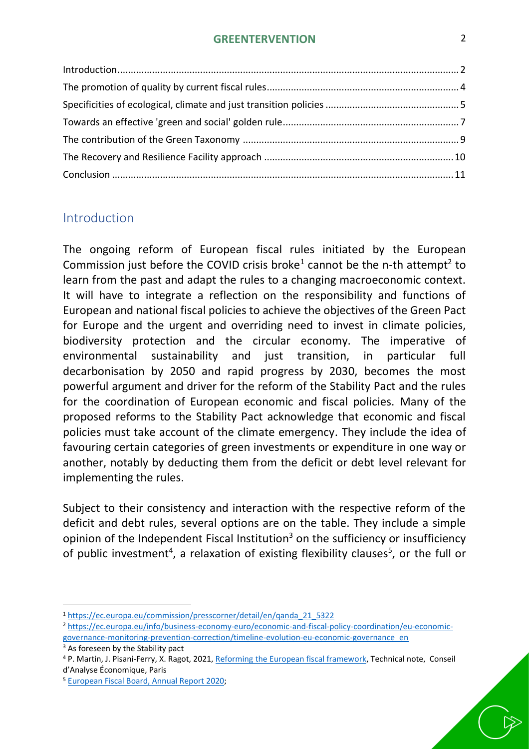### **GREENTERVENTION** 2

## <span id="page-1-0"></span>Introduction

The ongoing reform of European fiscal rules initiated by the European Commission just before the COVID crisis broke<sup>1</sup> cannot be the n-th attempt<sup>2</sup> to learn from the past and adapt the rules to a changing macroeconomic context. It will have to integrate a reflection on the responsibility and functions of European and national fiscal policies to achieve the objectives of the Green Pact for Europe and the urgent and overriding need to invest in climate policies, biodiversity protection and the circular economy. The imperative of environmental sustainability and just transition, in particular full decarbonisation by 2050 and rapid progress by 2030, becomes the most powerful argument and driver for the reform of the Stability Pact and the rules for the coordination of European economic and fiscal policies. Many of the proposed reforms to the Stability Pact acknowledge that economic and fiscal policies must take account of the climate emergency. They include the idea of favouring certain categories of green investments or expenditure in one way or another, notably by deducting them from the deficit or debt level relevant for implementing the rules.

Subject to their consistency and interaction with the respective reform of the deficit and debt rules, several options are on the table. They include a simple opinion of the Independent Fiscal Institution<sup>3</sup> on the sufficiency or insufficiency of public investment<sup>4</sup>, a relaxation of existing flexibility clauses<sup>5</sup>, or the full or

<sup>3</sup> As foreseen by the Stability pact

<sup>1</sup> [https://ec.europa.eu/commission/presscorner/detail/en/qanda\\_21\\_5322](https://ec.europa.eu/commission/presscorner/detail/en/qanda_21_5322)

<sup>2</sup> [https://ec.europa.eu/info/business-economy-euro/economic-and-fiscal-policy-coordination/eu-economic](https://ec.europa.eu/info/business-economy-euro/economic-and-fiscal-policy-coordination/eu-economic-governance-monitoring-prevention-correction/timeline-evolution-eu-economic-governance_en)[governance-monitoring-prevention-correction/timeline-evolution-eu-economic-governance\\_en](https://ec.europa.eu/info/business-economy-euro/economic-and-fiscal-policy-coordination/eu-economic-governance-monitoring-prevention-correction/timeline-evolution-eu-economic-governance_en)

<sup>4</sup> P. Martin, J. Pisani-Ferry, X. Ragot, 2021[, Reforming the European fiscal framework,](https://www.cae-eco.fr/en/pour-une-refonte-du-cadre-budgetaire-europeen) Technical note, Conseil d'Analyse Économique, Paris

<sup>5</sup> [European Fiscal Board, Annual Report 2020;](https://ec.europa.eu/info/sites/default/files/efb_annual_report_2020_en_1.pdf)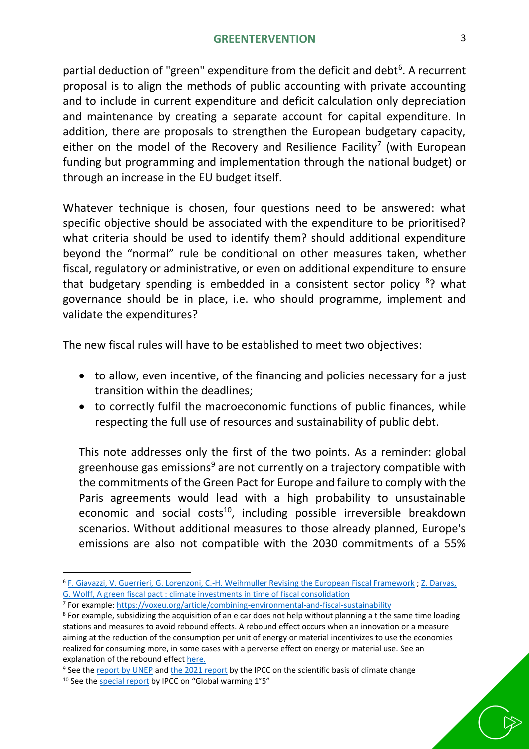partial deduction of "green" expenditure from the deficit and debt<sup>6</sup>. A recurrent proposal is to align the methods of public accounting with private accounting and to include in current expenditure and deficit calculation only depreciation and maintenance by creating a separate account for capital expenditure. In addition, there are proposals to strengthen the European budgetary capacity, either on the model of the Recovery and Resilience Facility<sup>7</sup> (with European funding but programming and implementation through the national budget) or through an increase in the EU budget itself.

Whatever technique is chosen, four questions need to be answered: what specific objective should be associated with the expenditure to be prioritised? what criteria should be used to identify them? should additional expenditure beyond the "normal" rule be conditional on other measures taken, whether fiscal, regulatory or administrative, or even on additional expenditure to ensure that budgetary spending is embedded in a consistent sector policy <sup>8</sup>? what governance should be in place, i.e. who should programme, implement and validate the expenditures?

The new fiscal rules will have to be established to meet two objectives:

- to allow, even incentive, of the financing and policies necessary for a just transition within the deadlines;
- to correctly fulfil the macroeconomic functions of public finances, while respecting the full use of resources and sustainability of public debt.

This note addresses only the first of the two points. As a reminder: global greenhouse gas emissions<sup>9</sup> are not currently on a trajectory compatible with the commitments of the Green Pact for Europe and failure to comply with the Paris agreements would lead with a high probability to unsustainable economic and social costs<sup>10</sup>, including possible irreversible breakdown scenarios. Without additional measures to those already planned, Europe's emissions are also not compatible with the 2030 commitments of a 55%

<sup>6</sup> [F. Giavazzi, V. Guerrieri, G. Lorenzoni, C.-H. Weihmuller Revising the European Fiscal Framework](https://www.governo.it/sites/governo.it/files/documenti/documenti/Notizie-allegati/Reform_SGP.pdf) [; Z. Darvas,](https://www.bruegel.org/wp-content/uploads/2021/09/PC-2021-18-0909.pdf)  G. Wolff, A green fiscal pact [: climate investments in time of fiscal consolidation](https://www.bruegel.org/wp-content/uploads/2021/09/PC-2021-18-0909.pdf)

<sup>7</sup> For example:<https://voxeu.org/article/combining-environmental-and-fiscal-sustainability>

<sup>&</sup>lt;sup>8</sup> For example, subsidizing the acquisition of an e car does not help without planning a t the same time loading stations and measures to avoid rebound effects. A rebound effect occurs when an innovation or a measure aiming at the reduction of the consumption per unit of energy or material incentivizes to use the economies realized for consuming more, in some cases with a perverse effect on energy or material use. See an explanation of the rebound effect [here.](https://esrc.ukri.org/about-us/50-years-of-esrc/50-achievements/the-rebound-effect/)

<sup>&</sup>lt;sup>9</sup> See the [report by UNEP](https://www.unep.org/resources/emissions-gap-report-2021) and [the 2021 report](https://www.ipcc.ch/report/sixth-assessment-report-working-group-i/) by the IPCC on the scientific basis of climate change

<sup>&</sup>lt;sup>10</sup> See the [special report](https://www.ipcc.ch/sr15/) by IPCC on "Global warming 1°5"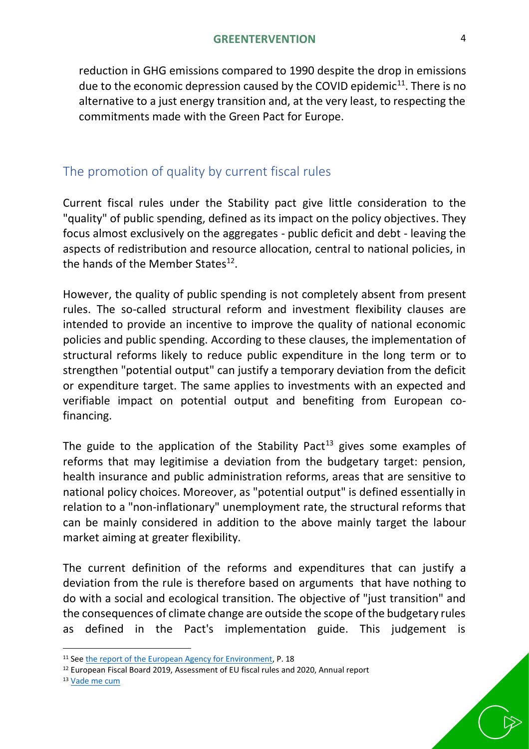reduction in GHG emissions compared to 1990 despite the drop in emissions due to the economic depression caused by the COVID epidemic<sup>11</sup>. There is no alternative to a just energy transition and, at the very least, to respecting the commitments made with the Green Pact for Europe.

# <span id="page-3-0"></span>The promotion of quality by current fiscal rules

Current fiscal rules under the Stability pact give little consideration to the "quality" of public spending, defined as its impact on the policy objectives. They focus almost exclusively on the aggregates - public deficit and debt - leaving the aspects of redistribution and resource allocation, central to national policies, in the hands of the Member States<sup>12</sup>.

However, the quality of public spending is not completely absent from present rules. The so-called structural reform and investment flexibility clauses are intended to provide an incentive to improve the quality of national economic policies and public spending. According to these clauses, the implementation of structural reforms likely to reduce public expenditure in the long term or to strengthen "potential output" can justify a temporary deviation from the deficit or expenditure target. The same applies to investments with an expected and verifiable impact on potential output and benefiting from European cofinancing.

The guide to the application of the Stability Pact<sup>13</sup> gives some examples of reforms that may legitimise a deviation from the budgetary target: pension, health insurance and public administration reforms, areas that are sensitive to national policy choices. Moreover, as "potential output" is defined essentially in relation to a "non-inflationary" unemployment rate, the structural reforms that can be mainly considered in addition to the above mainly target the labour market aiming at greater flexibility.

The current definition of the reforms and expenditures that can justify a deviation from the rule is therefore based on arguments that have nothing to do with a social and ecological transition. The objective of "just transition" and the consequences of climate change are outside the scope of the budgetary rules as defined in the Pact's implementation guide. This judgement is

<sup>&</sup>lt;sup>11</sup> See [the report of the European Agency for Environment,](https://www.eea.europa.eu/publications/trends-and-projections-in-europe-2021) P. 18

<sup>12</sup> European Fiscal Board 2019, Assessment of EU fiscal rules and 2020, Annual report

<sup>13</sup> [Vade me cum](https://ec.europa.eu/info/publications/vade-mecum-stability-and-growth-pact-2019-edition_en)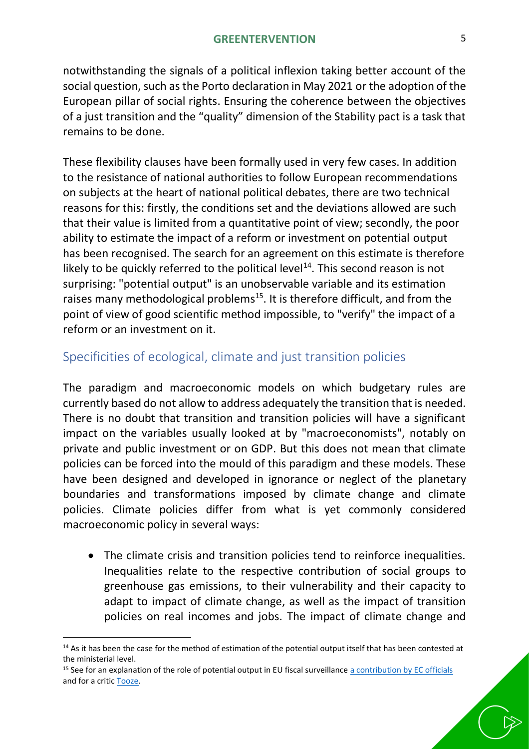notwithstanding the signals of a political inflexion taking better account of the social question, such as the Porto declaration in May 2021 or the adoption of the European pillar of social rights. Ensuring the coherence between the objectives of a just transition and the "quality" dimension of the Stability pact is a task that remains to be done.

These flexibility clauses have been formally used in very few cases. In addition to the resistance of national authorities to follow European recommendations on subjects at the heart of national political debates, there are two technical reasons for this: firstly, the conditions set and the deviations allowed are such that their value is limited from a quantitative point of view; secondly, the poor ability to estimate the impact of a reform or investment on potential output has been recognised. The search for an agreement on this estimate is therefore likely to be quickly referred to the political level $^{14}$ . This second reason is not surprising: "potential output" is an unobservable variable and its estimation raises many methodological problems<sup>15</sup>. It is therefore difficult, and from the point of view of good scientific method impossible, to "verify" the impact of a reform or an investment on it.

## <span id="page-4-0"></span>Specificities of ecological, climate and just transition policies

The paradigm and macroeconomic models on which budgetary rules are currently based do not allow to address adequately the transition that is needed. There is no doubt that transition and transition policies will have a significant impact on the variables usually looked at by "macroeconomists", notably on private and public investment or on GDP. But this does not mean that climate policies can be forced into the mould of this paradigm and these models. These have been designed and developed in ignorance or neglect of the planetary boundaries and transformations imposed by climate change and climate policies. Climate policies differ from what is yet commonly considered macroeconomic policy in several ways:

• The climate crisis and transition policies tend to reinforce inequalities. Inequalities relate to the respective contribution of social groups to greenhouse gas emissions, to their vulnerability and their capacity to adapt to impact of climate change, as well as the impact of transition policies on real incomes and jobs. The impact of climate change and

<sup>&</sup>lt;sup>14</sup> As it has been the case for the method of estimation of the potential output itself that has been contested at the ministerial level.

<sup>&</sup>lt;sup>15</sup> See for an explanation of the role of potential output in EU fiscal surveillance [a contribution by EC officials](https://voxeu.org/article/potential-output-and-eu-fiscal-surveillance) and for a criti[c Tooze.](https://socialeurope.eu/output-gap-nonsense)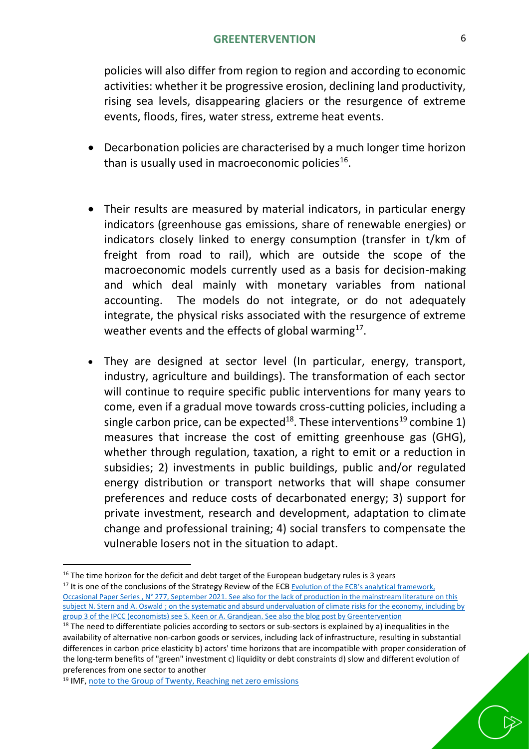policies will also differ from region to region and according to economic activities: whether it be progressive erosion, declining land productivity, rising sea levels, disappearing glaciers or the resurgence of extreme events, floods, fires, water stress, extreme heat events.

- Decarbonation policies are characterised by a much longer time horizon than is usually used in macroeconomic policies<sup>16</sup>.
- Their results are measured by material indicators, in particular energy indicators (greenhouse gas emissions, share of renewable energies) or indicators closely linked to energy consumption (transfer in t/km of freight from road to rail), which are outside the scope of the macroeconomic models currently used as a basis for decision-making and which deal mainly with monetary variables from national accounting. The models do not integrate, or do not adequately integrate, the physical risks associated with the resurgence of extreme weather events and the effects of global warming $^{17}$ .
- They are designed at sector level (In particular, energy, transport, industry, agriculture and buildings). The transformation of each sector will continue to require specific public interventions for many years to come, even if a gradual move towards cross-cutting policies, including a single carbon price, can be expected<sup>18</sup>. These interventions<sup>19</sup> combine 1) measures that increase the cost of emitting greenhouse gas (GHG), whether through regulation, taxation, a right to emit or a reduction in subsidies; 2) investments in public buildings, public and/or regulated energy distribution or transport networks that will shape consumer preferences and reduce costs of decarbonated energy; 3) support for private investment, research and development, adaptation to climate change and professional training; 4) social transfers to compensate the vulnerable losers not in the situation to adapt.

<sup>&</sup>lt;sup>16</sup> The time horizon for the deficit and debt target of the European budgetary rules is 3 years

<sup>&</sup>lt;sup>17</sup> It is one of the conclusions of the Strategy Review of the ECB Evolution of the ECB's analytical framework, [Occasional Paper Series , N° 277, September 2021.](https://www.ecb.europa.eu/pub/pdf/scpops/ecb.op277~a3fc2dd56e.en.pdf) See also for the lack of production in the mainstream literature on this subjec[t N. Stern and A. Oswald](https://voxeu.org/article/why-are-economists-letting-down-world-climate-change) ; on the systematic and absurd undervaluation of climate risks for the economy, including by group 3 of the IPCC (economists) see [S. Keen](https://profstevekeen.medium.com/economic-failures-of-the-ipcc-process-e1fd6060092e) or [A. Grandjean.](https://alaingrandjean.fr/2021/02/25/changement-climatique-de-pib/) See also the blog post by [Greentervention](https://greentervention.org/2020/10/07/eng-fr-la-representation-de-la-question-climatique-par-la-commission-europeenne-un-biais-contre-productif/)

 $18$  The need to differentiate policies according to sectors or sub-sectors is explained by a) inequalities in the availability of alternative non-carbon goods or services, including lack of infrastructure, resulting in substantial differences in carbon price elasticity b) actors' time horizons that are incompatible with proper consideration of the long-term benefits of "green" investment c) liquidity or debt constraints d) slow and different evolution of preferences from one sector to another

<sup>&</sup>lt;sup>19</sup> IMF, [note to the Group of Twenty, Reaching net zero emissions](https://www.imf.org/external/np/g20/pdf/2021/062221.pdf)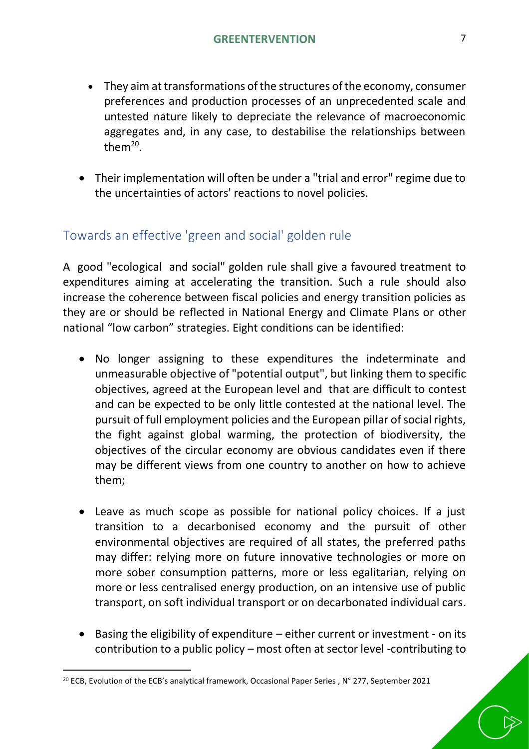- They aim at transformations of the structures of the economy, consumer preferences and production processes of an unprecedented scale and untested nature likely to depreciate the relevance of macroeconomic aggregates and, in any case, to destabilise the relationships between them $^{20}$ .
- Their implementation will often be under a "trial and error" regime due to the uncertainties of actors' reactions to novel policies.

# <span id="page-6-0"></span>Towards an effective 'green and social' golden rule

A good "ecological and social" golden rule shall give a favoured treatment to expenditures aiming at accelerating the transition. Such a rule should also increase the coherence between fiscal policies and energy transition policies as they are or should be reflected in National Energy and Climate Plans or other national "low carbon" strategies. Eight conditions can be identified:

- No longer assigning to these expenditures the indeterminate and unmeasurable objective of "potential output", but linking them to specific objectives, agreed at the European level and that are difficult to contest and can be expected to be only little contested at the national level. The pursuit of full employment policies and the European pillar of social rights, the fight against global warming, the protection of biodiversity, the objectives of the circular economy are obvious candidates even if there may be different views from one country to another on how to achieve them;
- Leave as much scope as possible for national policy choices. If a just transition to a decarbonised economy and the pursuit of other environmental objectives are required of all states, the preferred paths may differ: relying more on future innovative technologies or more on more sober consumption patterns, more or less egalitarian, relying on more or less centralised energy production, on an intensive use of public transport, on soft individual transport or on decarbonated individual cars.
- Basing the eligibility of expenditure either current or investment on its contribution to a public policy – most often at sector level -contributing to

<sup>&</sup>lt;sup>20</sup> ECB, Evolution of the ECB's analytical framework, Occasional Paper Series, N° 277, September 2021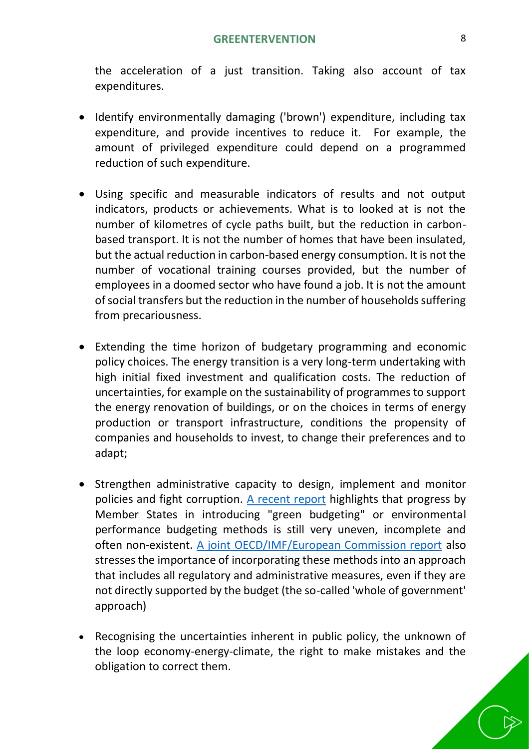the acceleration of a just transition. Taking also account of tax expenditures.

- Identify environmentally damaging ('brown') expenditure, including tax expenditure, and provide incentives to reduce it. For example, the amount of privileged expenditure could depend on a programmed reduction of such expenditure.
- Using specific and measurable indicators of results and not output indicators, products or achievements. What is to looked at is not the number of kilometres of cycle paths built, but the reduction in carbonbased transport. It is not the number of homes that have been insulated, but the actual reduction in carbon-based energy consumption. It is not the number of vocational training courses provided, but the number of employees in a doomed sector who have found a job. It is not the amount of social transfers but the reduction in the number of households suffering from precariousness.
- Extending the time horizon of budgetary programming and economic policy choices. The energy transition is a very long-term undertaking with high initial fixed investment and qualification costs. The reduction of uncertainties, for example on the sustainability of programmes to support the energy renovation of buildings, or on the choices in terms of energy production or transport infrastructure, conditions the propensity of companies and households to invest, to change their preferences and to adapt;
- Strengthen administrative capacity to design, implement and monitor policies and fight corruption. [A recent report](https://ec.europa.eu/info/business-economy-euro/economic-and-fiscal-policy-coordination/green-budgeting-eu_en) highlights that progress by Member States in introducing "green budgeting" or environmental performance budgeting methods is still very uneven, incomplete and often non-existent. [A joint OECD/IMF/European Commission report](https://ec.europa.eu/info/sites/default/files/economy-finance/cop26_en.pdf) also stresses the importance of incorporating these methods into an approach that includes all regulatory and administrative measures, even if they are not directly supported by the budget (the so-called 'whole of government' approach)
- Recognising the uncertainties inherent in public policy, the unknown of the loop economy-energy-climate, the right to make mistakes and the obligation to correct them.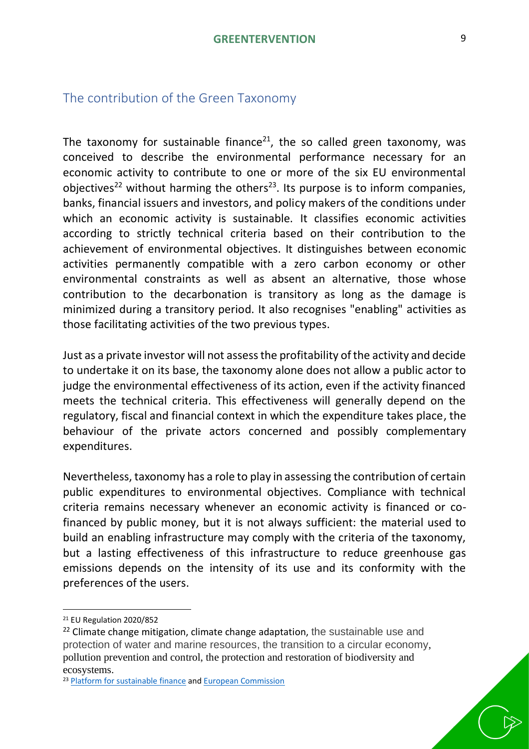## <span id="page-8-0"></span>The contribution of the Green Taxonomy

The taxonomy for sustainable finance<sup>21</sup>, the so called green taxonomy, was conceived to describe the environmental performance necessary for an economic activity to contribute to one or more of the six EU environmental objectives<sup>22</sup> without harming the others<sup>23</sup>. Its purpose is to inform companies, banks, financial issuers and investors, and policy makers of the conditions under which an economic activity is sustainable. It classifies economic activities according to strictly technical criteria based on their contribution to the achievement of environmental objectives. It distinguishes between economic activities permanently compatible with a zero carbon economy or other environmental constraints as well as absent an alternative, those whose contribution to the decarbonation is transitory as long as the damage is minimized during a transitory period. It also recognises "enabling" activities as those facilitating activities of the two previous types.

Just as a private investor will not assessthe profitability of the activity and decide to undertake it on its base, the taxonomy alone does not allow a public actor to judge the environmental effectiveness of its action, even if the activity financed meets the technical criteria. This effectiveness will generally depend on the regulatory, fiscal and financial context in which the expenditure takes place, the behaviour of the private actors concerned and possibly complementary expenditures.

Nevertheless, taxonomy has a role to play in assessing the contribution of certain public expenditures to environmental objectives. Compliance with technical criteria remains necessary whenever an economic activity is financed or cofinanced by public money, but it is not always sufficient: the material used to build an enabling infrastructure may comply with the criteria of the taxonomy, but a lasting effectiveness of this infrastructure to reduce greenhouse gas emissions depends on the intensity of its use and its conformity with the preferences of the users.

<sup>21</sup> EU Regulation 2020/852

 $22$  Climate change mitigation, climate change adaptation, the sustainable use and protection of water and marine resources, the transition to a circular economy, pollution prevention and control, the protection and restoration of biodiversity and ecosystems.

<sup>&</sup>lt;sup>23</sup> [Platform for sustainable finance](https://ec.europa.eu/info/files/220121-sustainable-finance-platform-response-taxonomy-complementary-delegated-act_en) and [European Commission](https://ec.europa.eu/info/business-economy-euro/banking-and-finance/sustainable-finance/eu-taxonomy-sustainable-activities_en)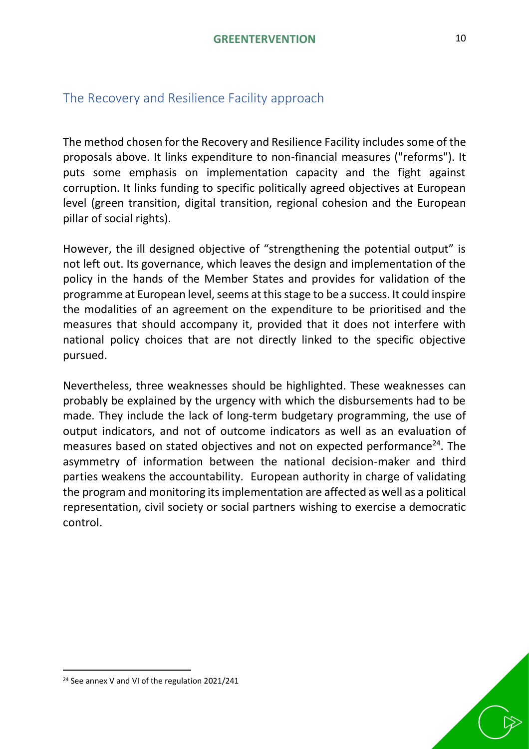# <span id="page-9-0"></span>The Recovery and Resilience Facility approach

The method chosen for the Recovery and Resilience Facility includes some of the proposals above. It links expenditure to non-financial measures ("reforms"). It puts some emphasis on implementation capacity and the fight against corruption. It links funding to specific politically agreed objectives at European level (green transition, digital transition, regional cohesion and the European pillar of social rights).

However, the ill designed objective of "strengthening the potential output" is not left out. Its governance, which leaves the design and implementation of the policy in the hands of the Member States and provides for validation of the programme at European level, seems at this stage to be a success. It could inspire the modalities of an agreement on the expenditure to be prioritised and the measures that should accompany it, provided that it does not interfere with national policy choices that are not directly linked to the specific objective pursued.

<span id="page-9-1"></span>Nevertheless, three weaknesses should be highlighted. These weaknesses can probably be explained by the urgency with which the disbursements had to be made. They include the lack of long-term budgetary programming, the use of output indicators, and not of outcome indicators as well as an evaluation of measures based on stated objectives and not on expected performance $^{24}$ . The asymmetry of information between the national decision-maker and third parties weakens the accountability. European authority in charge of validating the program and monitoring its implementation are affected as well as a political representation, civil society or social partners wishing to exercise a democratic control.



<sup>24</sup> See annex V and VI of the regulation 2021/241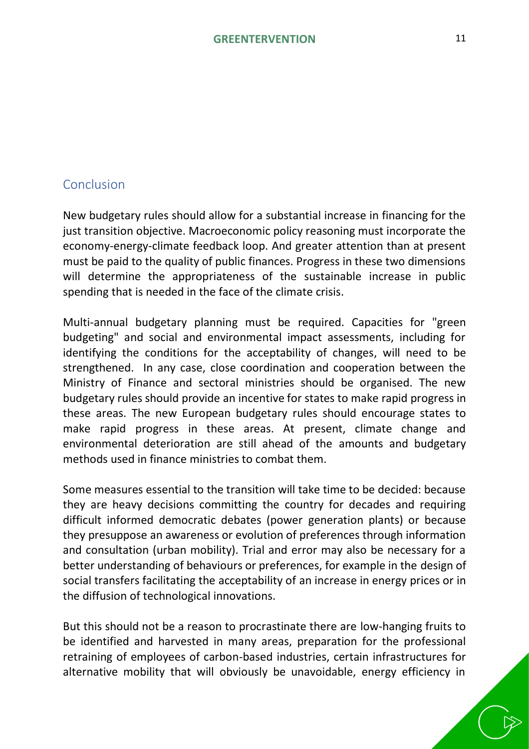## Conclusion

New budgetary rules should allow for a substantial increase in financing for the just transition objective. Macroeconomic policy reasoning must incorporate the economy-energy-climate feedback loop. And greater attention than at present must be paid to the quality of public finances. Progress in these two dimensions will determine the appropriateness of the sustainable increase in public spending that is needed in the face of the climate crisis.

Multi-annual budgetary planning must be required. Capacities for "green budgeting" and social and environmental impact assessments, including for identifying the conditions for the acceptability of changes, will need to be strengthened. In any case, close coordination and cooperation between the Ministry of Finance and sectoral ministries should be organised. The new budgetary rules should provide an incentive for states to make rapid progress in these areas. The new European budgetary rules should encourage states to make rapid progress in these areas. At present, climate change and environmental deterioration are still ahead of the amounts and budgetary methods used in finance ministries to combat them.

Some measures essential to the transition will take time to be decided: because they are heavy decisions committing the country for decades and requiring difficult informed democratic debates (power generation plants) or because they presuppose an awareness or evolution of preferences through information and consultation (urban mobility). Trial and error may also be necessary for a better understanding of behaviours or preferences, for example in the design of social transfers facilitating the acceptability of an increase in energy prices or in the diffusion of technological innovations.

But this should not be a reason to procrastinate there are low-hanging fruits to be identified and harvested in many areas, preparation for the professional retraining of employees of carbon-based industries, certain infrastructures for alternative mobility that will obviously be unavoidable, energy efficiency in